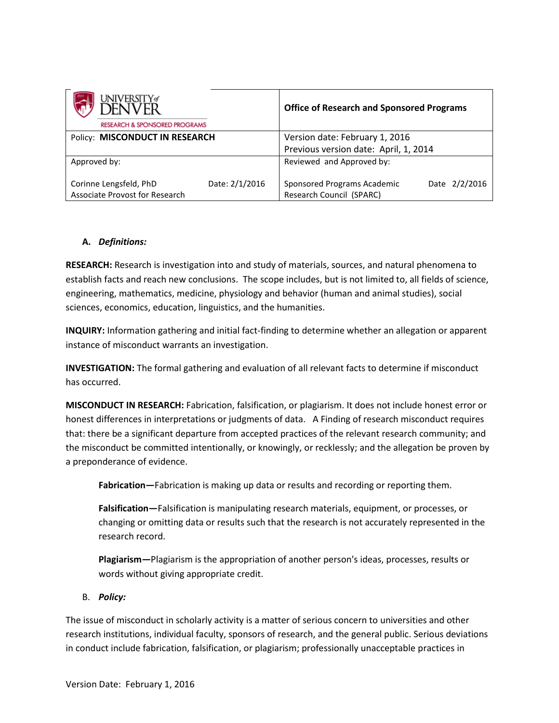| university#<br>DENVFR<br><b>RESEARCH &amp; SPONSORED PROGRAMS</b> |                | <b>Office of Research and Sponsored Programs</b>        |               |
|-------------------------------------------------------------------|----------------|---------------------------------------------------------|---------------|
| Policy: MISCONDUCT IN RESEARCH                                    |                | Version date: February 1, 2016                          |               |
|                                                                   |                | Previous version date: April, 1, 2014                   |               |
| Approved by:                                                      |                | Reviewed and Approved by:                               |               |
| Corinne Lengsfeld, PhD<br>Associate Provost for Research          | Date: 2/1/2016 | Sponsored Programs Academic<br>Research Council (SPARC) | Date 2/2/2016 |

## **A.** *Definitions:*

**RESEARCH:** Research is investigation into and study of materials, sources, and natural phenomena to establish facts and reach new conclusions. The scope includes, but is not limited to, all fields of science, engineering, mathematics, medicine, physiology and behavior (human and animal studies), social sciences, economics, education, linguistics, and the humanities.

**INQUIRY:** Information gathering and initial fact-finding to determine whether an allegation or apparent instance of misconduct warrants an investigation.

**INVESTIGATION:** The formal gathering and evaluation of all relevant facts to determine if misconduct has occurred.

**MISCONDUCT IN RESEARCH:** Fabrication, falsification, or plagiarism. It does not include honest error or honest differences in interpretations or judgments of data. A Finding of research misconduct requires that: there be a significant departure from accepted practices of the relevant research community; and the misconduct be committed intentionally, or knowingly, or recklessly; and the allegation be proven by a preponderance of evidence.

**Fabrication—**Fabrication is making up data or results and recording or reporting them.

**Falsification—**Falsification is manipulating research materials, equipment, or processes, or changing or omitting data or results such that the research is not accurately represented in the research record.

**Plagiarism—**Plagiarism is the appropriation of another person's ideas, processes, results or words without giving appropriate credit.

B. *Policy:* 

The issue of misconduct in scholarly activity is a matter of serious concern to universities and other research institutions, individual faculty, sponsors of research, and the general public. Serious deviations in conduct include fabrication, falsification, or plagiarism; professionally unacceptable practices in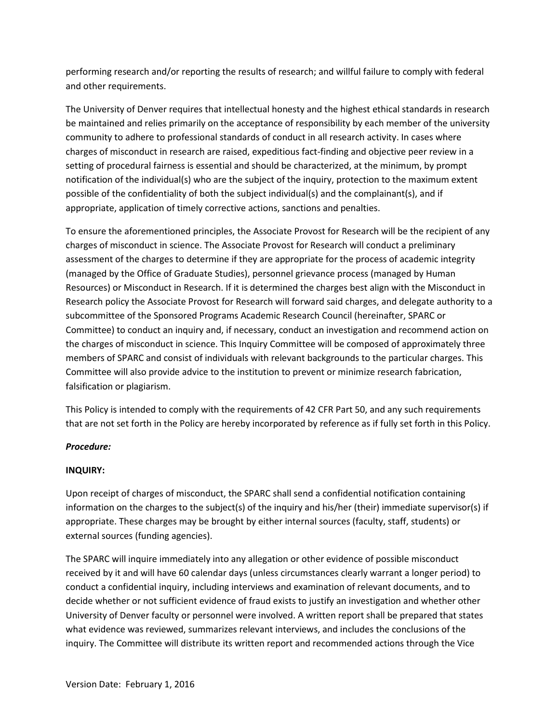performing research and/or reporting the results of research; and willful failure to comply with federal and other requirements.

The University of Denver requires that intellectual honesty and the highest ethical standards in research be maintained and relies primarily on the acceptance of responsibility by each member of the university community to adhere to professional standards of conduct in all research activity. In cases where charges of misconduct in research are raised, expeditious fact-finding and objective peer review in a setting of procedural fairness is essential and should be characterized, at the minimum, by prompt notification of the individual(s) who are the subject of the inquiry, protection to the maximum extent possible of the confidentiality of both the subject individual(s) and the complainant(s), and if appropriate, application of timely corrective actions, sanctions and penalties.

To ensure the aforementioned principles, the Associate Provost for Research will be the recipient of any charges of misconduct in science. The Associate Provost for Research will conduct a preliminary assessment of the charges to determine if they are appropriate for the process of academic integrity (managed by the Office of Graduate Studies), personnel grievance process (managed by Human Resources) or Misconduct in Research. If it is determined the charges best align with the Misconduct in Research policy the Associate Provost for Research will forward said charges, and delegate authority to a subcommittee of the Sponsored Programs Academic Research Council (hereinafter, SPARC or Committee) to conduct an inquiry and, if necessary, conduct an investigation and recommend action on the charges of misconduct in science. This Inquiry Committee will be composed of approximately three members of SPARC and consist of individuals with relevant backgrounds to the particular charges. This Committee will also provide advice to the institution to prevent or minimize research fabrication, falsification or plagiarism.

This Policy is intended to comply with the requirements of 42 CFR Part 50, and any such requirements that are not set forth in the Policy are hereby incorporated by reference as if fully set forth in this Policy.

# *Procedure:*

#### **INQUIRY:**

Upon receipt of charges of misconduct, the SPARC shall send a confidential notification containing information on the charges to the subject(s) of the inquiry and his/her (their) immediate supervisor(s) if appropriate. These charges may be brought by either internal sources (faculty, staff, students) or external sources (funding agencies).

The SPARC will inquire immediately into any allegation or other evidence of possible misconduct received by it and will have 60 calendar days (unless circumstances clearly warrant a longer period) to conduct a confidential inquiry, including interviews and examination of relevant documents, and to decide whether or not sufficient evidence of fraud exists to justify an investigation and whether other University of Denver faculty or personnel were involved. A written report shall be prepared that states what evidence was reviewed, summarizes relevant interviews, and includes the conclusions of the inquiry. The Committee will distribute its written report and recommended actions through the Vice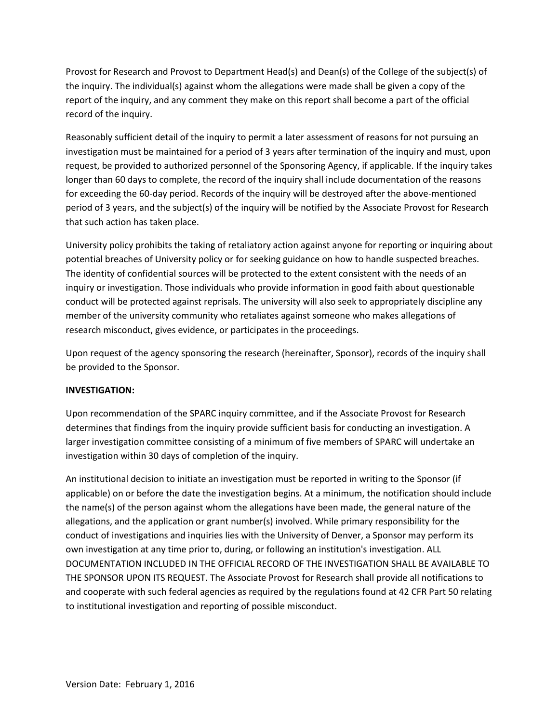Provost for Research and Provost to Department Head(s) and Dean(s) of the College of the subject(s) of the inquiry. The individual(s) against whom the allegations were made shall be given a copy of the report of the inquiry, and any comment they make on this report shall become a part of the official record of the inquiry.

Reasonably sufficient detail of the inquiry to permit a later assessment of reasons for not pursuing an investigation must be maintained for a period of 3 years after termination of the inquiry and must, upon request, be provided to authorized personnel of the Sponsoring Agency, if applicable. If the inquiry takes longer than 60 days to complete, the record of the inquiry shall include documentation of the reasons for exceeding the 60-day period. Records of the inquiry will be destroyed after the above-mentioned period of 3 years, and the subject(s) of the inquiry will be notified by the Associate Provost for Research that such action has taken place.

University policy prohibits the taking of retaliatory action against anyone for reporting or inquiring about potential breaches of University policy or for seeking guidance on how to handle suspected breaches. The identity of confidential sources will be protected to the extent consistent with the needs of an inquiry or investigation. Those individuals who provide information in good faith about questionable conduct will be protected against reprisals. The university will also seek to appropriately discipline any member of the university community who retaliates against someone who makes allegations of research misconduct, gives evidence, or participates in the proceedings.

Upon request of the agency sponsoring the research (hereinafter, Sponsor), records of the inquiry shall be provided to the Sponsor.

#### **INVESTIGATION:**

Upon recommendation of the SPARC inquiry committee, and if the Associate Provost for Research determines that findings from the inquiry provide sufficient basis for conducting an investigation. A larger investigation committee consisting of a minimum of five members of SPARC will undertake an investigation within 30 days of completion of the inquiry.

An institutional decision to initiate an investigation must be reported in writing to the Sponsor (if applicable) on or before the date the investigation begins. At a minimum, the notification should include the name(s) of the person against whom the allegations have been made, the general nature of the allegations, and the application or grant number(s) involved. While primary responsibility for the conduct of investigations and inquiries lies with the University of Denver, a Sponsor may perform its own investigation at any time prior to, during, or following an institution's investigation. ALL DOCUMENTATION INCLUDED IN THE OFFICIAL RECORD OF THE INVESTIGATION SHALL BE AVAILABLE TO THE SPONSOR UPON ITS REQUEST. The Associate Provost for Research shall provide all notifications to and cooperate with such federal agencies as required by the regulations found at 42 CFR Part 50 relating to institutional investigation and reporting of possible misconduct.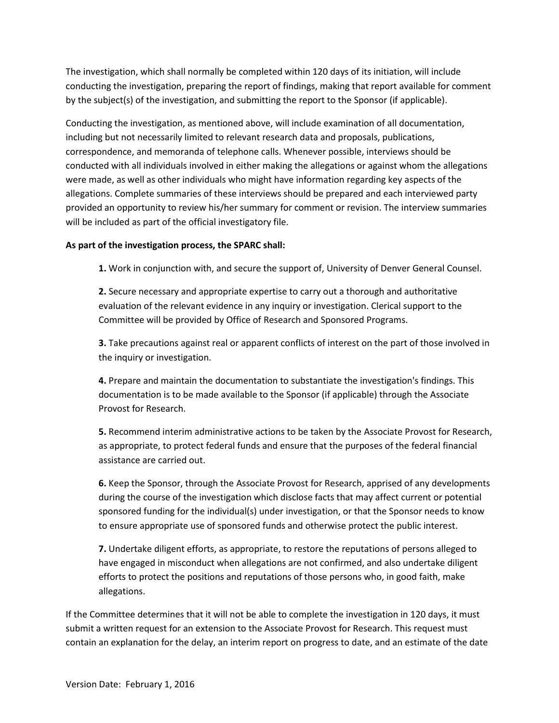The investigation, which shall normally be completed within 120 days of its initiation, will include conducting the investigation, preparing the report of findings, making that report available for comment by the subject(s) of the investigation, and submitting the report to the Sponsor (if applicable).

Conducting the investigation, as mentioned above, will include examination of all documentation, including but not necessarily limited to relevant research data and proposals, publications, correspondence, and memoranda of telephone calls. Whenever possible, interviews should be conducted with all individuals involved in either making the allegations or against whom the allegations were made, as well as other individuals who might have information regarding key aspects of the allegations. Complete summaries of these interviews should be prepared and each interviewed party provided an opportunity to review his/her summary for comment or revision. The interview summaries will be included as part of the official investigatory file.

#### **As part of the investigation process, the SPARC shall:**

**1.** Work in conjunction with, and secure the support of, University of Denver General Counsel.

**2.** Secure necessary and appropriate expertise to carry out a thorough and authoritative evaluation of the relevant evidence in any inquiry or investigation. Clerical support to the Committee will be provided by Office of Research and Sponsored Programs.

**3.** Take precautions against real or apparent conflicts of interest on the part of those involved in the inquiry or investigation.

**4.** Prepare and maintain the documentation to substantiate the investigation's findings. This documentation is to be made available to the Sponsor (if applicable) through the Associate Provost for Research.

**5.** Recommend interim administrative actions to be taken by the Associate Provost for Research, as appropriate, to protect federal funds and ensure that the purposes of the federal financial assistance are carried out.

**6.** Keep the Sponsor, through the Associate Provost for Research, apprised of any developments during the course of the investigation which disclose facts that may affect current or potential sponsored funding for the individual(s) under investigation, or that the Sponsor needs to know to ensure appropriate use of sponsored funds and otherwise protect the public interest.

**7.** Undertake diligent efforts, as appropriate, to restore the reputations of persons alleged to have engaged in misconduct when allegations are not confirmed, and also undertake diligent efforts to protect the positions and reputations of those persons who, in good faith, make allegations.

If the Committee determines that it will not be able to complete the investigation in 120 days, it must submit a written request for an extension to the Associate Provost for Research. This request must contain an explanation for the delay, an interim report on progress to date, and an estimate of the date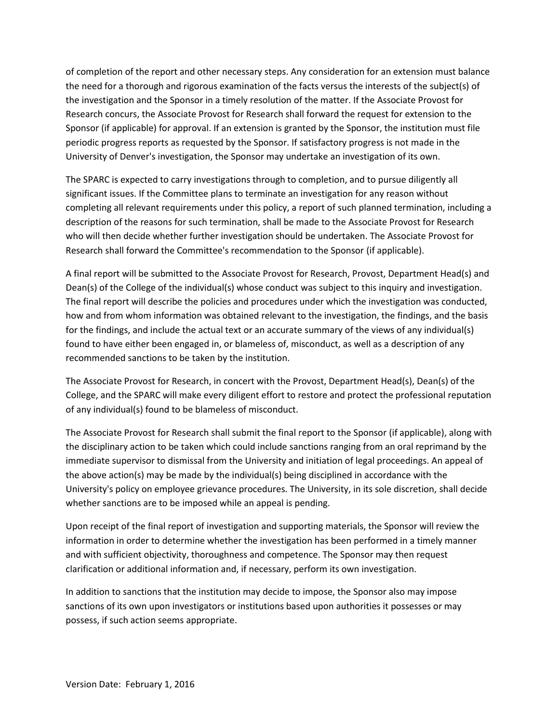of completion of the report and other necessary steps. Any consideration for an extension must balance the need for a thorough and rigorous examination of the facts versus the interests of the subject(s) of the investigation and the Sponsor in a timely resolution of the matter. If the Associate Provost for Research concurs, the Associate Provost for Research shall forward the request for extension to the Sponsor (if applicable) for approval. If an extension is granted by the Sponsor, the institution must file periodic progress reports as requested by the Sponsor. If satisfactory progress is not made in the University of Denver's investigation, the Sponsor may undertake an investigation of its own.

The SPARC is expected to carry investigations through to completion, and to pursue diligently all significant issues. If the Committee plans to terminate an investigation for any reason without completing all relevant requirements under this policy, a report of such planned termination, including a description of the reasons for such termination, shall be made to the Associate Provost for Research who will then decide whether further investigation should be undertaken. The Associate Provost for Research shall forward the Committee's recommendation to the Sponsor (if applicable).

A final report will be submitted to the Associate Provost for Research, Provost, Department Head(s) and Dean(s) of the College of the individual(s) whose conduct was subject to this inquiry and investigation. The final report will describe the policies and procedures under which the investigation was conducted, how and from whom information was obtained relevant to the investigation, the findings, and the basis for the findings, and include the actual text or an accurate summary of the views of any individual(s) found to have either been engaged in, or blameless of, misconduct, as well as a description of any recommended sanctions to be taken by the institution.

The Associate Provost for Research, in concert with the Provost, Department Head(s), Dean(s) of the College, and the SPARC will make every diligent effort to restore and protect the professional reputation of any individual(s) found to be blameless of misconduct.

The Associate Provost for Research shall submit the final report to the Sponsor (if applicable), along with the disciplinary action to be taken which could include sanctions ranging from an oral reprimand by the immediate supervisor to dismissal from the University and initiation of legal proceedings. An appeal of the above action(s) may be made by the individual(s) being disciplined in accordance with the University's policy on employee grievance procedures. The University, in its sole discretion, shall decide whether sanctions are to be imposed while an appeal is pending.

Upon receipt of the final report of investigation and supporting materials, the Sponsor will review the information in order to determine whether the investigation has been performed in a timely manner and with sufficient objectivity, thoroughness and competence. The Sponsor may then request clarification or additional information and, if necessary, perform its own investigation.

In addition to sanctions that the institution may decide to impose, the Sponsor also may impose sanctions of its own upon investigators or institutions based upon authorities it possesses or may possess, if such action seems appropriate.